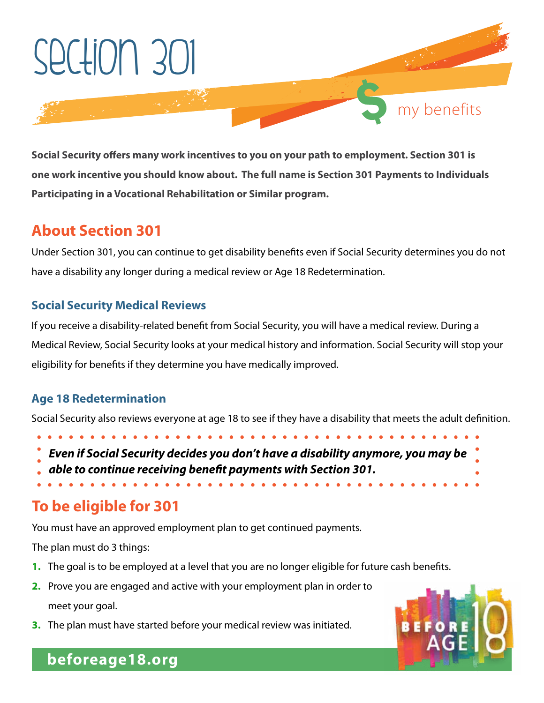

**Social Security offers many work incentives to you on your path to employment. Section 301 is one work incentive you should know about. The full name is Section 301 Payments to Individuals Participating in a Vocational Rehabilitation or Similar program.** 

# **About Section 301**

Under Section 301, you can continue to get disability benefits even if Social Security determines you do not have a disability any longer during a medical review or Age 18 Redetermination.

#### **Social Security Medical Reviews**

If you receive a disability-related benefit from Social Security, you will have a medical review. During a Medical Review, Social Security looks at your medical history and information. Social Security will stop your eligibility for benefits if they determine you have medically improved.

### **Age 18 Redetermination**

Social Security also reviews everyone at age 18 to see if they have a disability that meets the adult definition.

- 
- *Even if Social Security decides you don't have a disability anymore, you may be*
- *able to continue receiving benefit payments with Section 301.*

# **To be eligible for 301**

You must have an approved employment plan to get continued payments.

The plan must do 3 things:

- **1.** The goal is to be employed at a level that you are no longer eligible for future cash benefits.
- **2.** Prove you are engaged and active with your employment plan in order to meet your goal.
- **3.** The plan must have started before your medical review was initiated.

# **beforeage18.org**